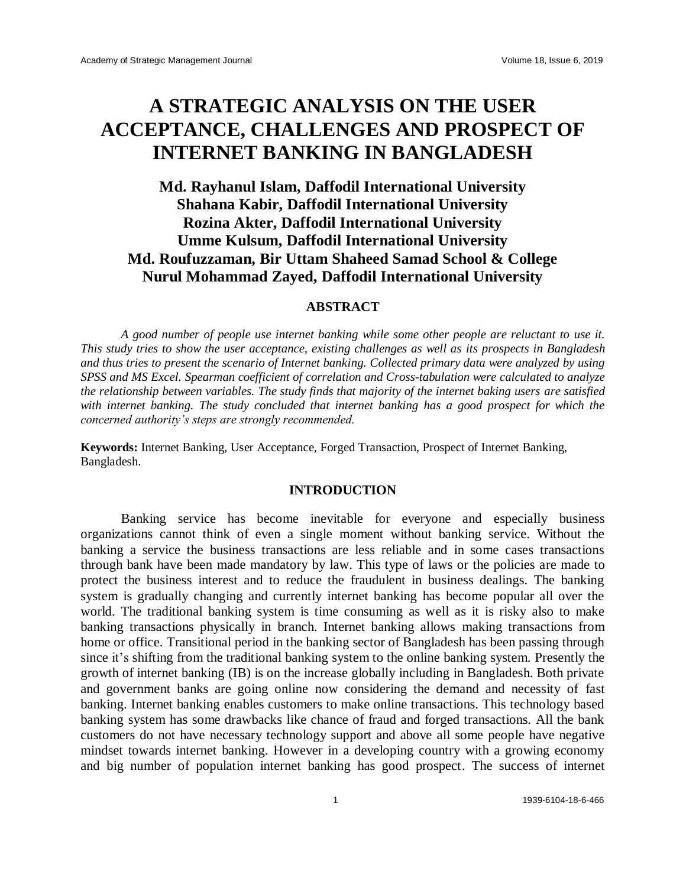# **A STRATEGIC ANALYSIS ON THE USER ACCEPTANCE, CHALLENGES AND PROSPECT OF INTERNET BANKING IN BANGLADESH**

# **Md. Rayhanul Islam, Daffodil International University Shahana Kabir, Daffodil International University Rozina Akter, Daffodil International University Umme Kulsum, Daffodil International University Md. Roufuzzaman, Bir Uttam Shaheed Samad School & College Nurul Mohammad Zayed, Daffodil International University**

#### **ABSTRACT**

*A good number of people use internet banking while some other people are reluctant to use it. This study tries to show the user acceptance, existing challenges as well as its prospects in Bangladesh and thus tries to present the scenario of Internet banking. Collected primary data were analyzed by using SPSS and MS Excel. Spearman coefficient of correlation and Cross-tabulation were calculated to analyze the relationship between variables. The study finds that majority of the internet baking users are satisfied with internet banking. The study concluded that internet banking has a good prospect for which the concerned authority's steps are strongly recommended.*

**Keywords:** Internet Banking, User Acceptance, Forged Transaction, Prospect of Internet Banking, Bangladesh.

#### **INTRODUCTION**

Banking service has become inevitable for everyone and especially business organizations cannot think of even a single moment without banking service. Without the banking a service the business transactions are less reliable and in some cases transactions through bank have been made mandatory by law. This type of laws or the policies are made to protect the business interest and to reduce the fraudulent in business dealings. The banking system is gradually changing and currently internet banking has become popular all over the world. The traditional banking system is time consuming as well as it is risky also to make banking transactions physically in branch. Internet banking allows making transactions from home or office. Transitional period in the banking sector of Bangladesh has been passing through since it's shifting from the traditional banking system to the online banking system. Presently the growth of internet banking (IB) is on the increase globally including in Bangladesh. Both private and government banks are going online now considering the demand and necessity of fast banking. Internet banking enables customers to make online transactions. This technology based banking system has some drawbacks like chance of fraud and forged transactions. All the bank customers do not have necessary technology support and above all some people have negative mindset towards internet banking. However in a developing country with a growing economy and big number of population internet banking has good prospect. The success of internet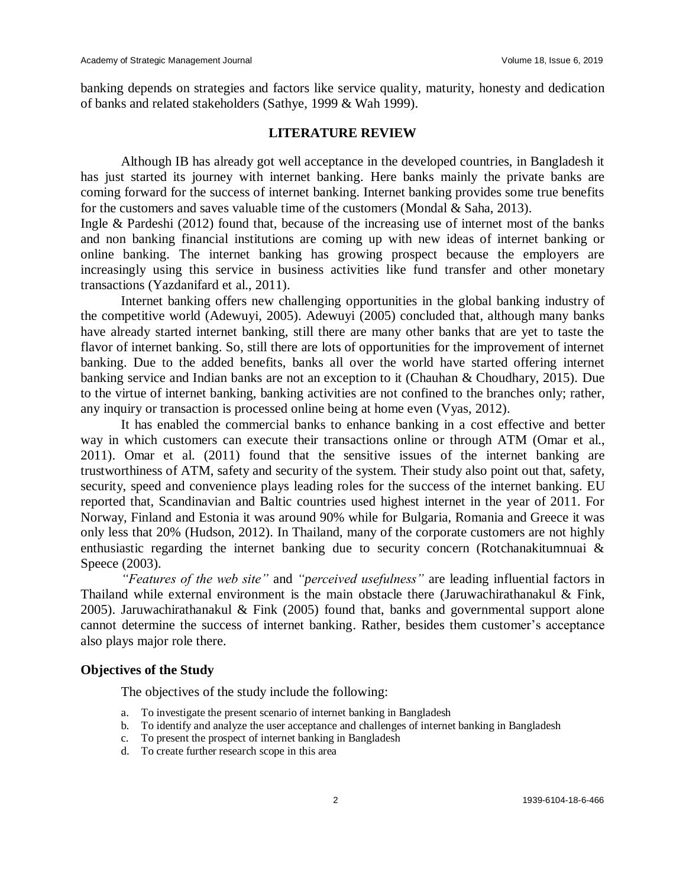banking depends on strategies and factors like service quality, maturity, honesty and dedication of banks and related stakeholders (Sathye, 1999 & Wah 1999).

#### **LITERATURE REVIEW**

Although IB has already got well acceptance in the developed countries, in Bangladesh it has just started its journey with internet banking. Here banks mainly the private banks are coming forward for the success of internet banking. Internet banking provides some true benefits for the customers and saves valuable time of the customers (Mondal  $&$  Saha, 2013).

Ingle & Pardeshi (2012) found that, because of the increasing use of internet most of the banks and non banking financial institutions are coming up with new ideas of internet banking or online banking. The internet banking has growing prospect because the employers are increasingly using this service in business activities like fund transfer and other monetary transactions (Yazdanifard et al., 2011).

Internet banking offers new challenging opportunities in the global banking industry of the competitive world (Adewuyi, 2005). Adewuyi (2005) concluded that, although many banks have already started internet banking, still there are many other banks that are yet to taste the flavor of internet banking. So, still there are lots of opportunities for the improvement of internet banking. Due to the added benefits, banks all over the world have started offering internet banking service and Indian banks are not an exception to it (Chauhan & Choudhary, 2015). Due to the virtue of internet banking, banking activities are not confined to the branches only; rather, any inquiry or transaction is processed online being at home even (Vyas, 2012).

It has enabled the commercial banks to enhance banking in a cost effective and better way in which customers can execute their transactions online or through ATM (Omar et al., 2011). Omar et al. (2011) found that the sensitive issues of the internet banking are trustworthiness of ATM, safety and security of the system. Their study also point out that, safety, security, speed and convenience plays leading roles for the success of the internet banking. EU reported that, Scandinavian and Baltic countries used highest internet in the year of 2011. For Norway, Finland and Estonia it was around 90% while for Bulgaria, Romania and Greece it was only less that 20% (Hudson, 2012). In Thailand, many of the corporate customers are not highly enthusiastic regarding the internet banking due to security concern (Rotchanakitumnuai & Speece (2003).

*"Features of the web site"* and *"perceived usefulness"* are leading influential factors in Thailand while external environment is the main obstacle there (Jaruwachirathanakul & Fink, 2005). Jaruwachirathanakul & Fink (2005) found that, banks and governmental support alone cannot determine the success of internet banking. Rather, besides them customer's acceptance also plays major role there.

#### **Objectives of the Study**

The objectives of the study include the following:

- a. To investigate the present scenario of internet banking in Bangladesh
- b. To identify and analyze the user acceptance and challenges of internet banking in Bangladesh
- c. To present the prospect of internet banking in Bangladesh
- d. To create further research scope in this area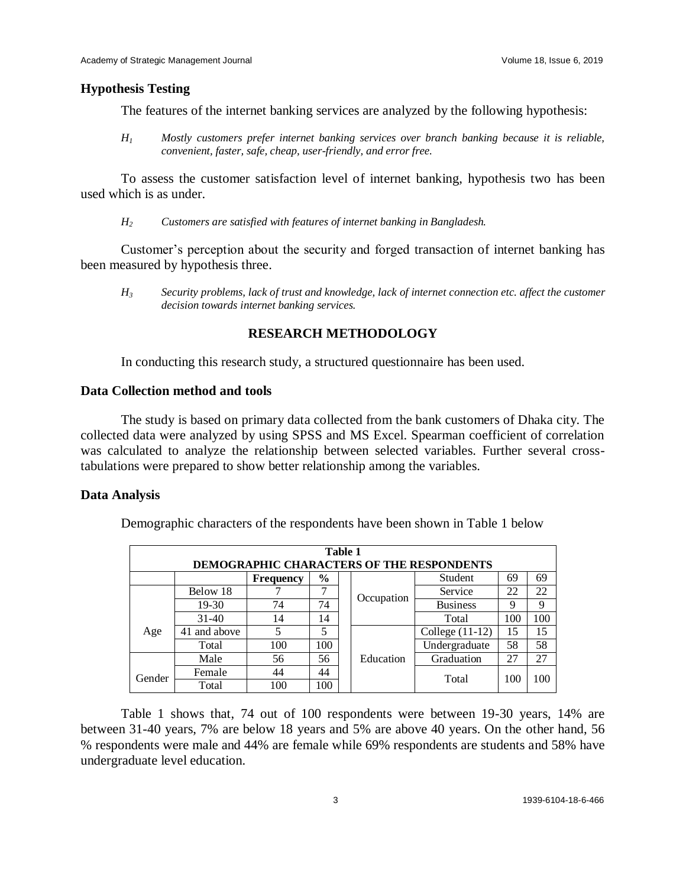#### **Hypothesis Testing**

The features of the internet banking services are analyzed by the following hypothesis:

*H<sup>1</sup> Mostly customers prefer internet banking services over branch banking because it is reliable, convenient, faster, safe, cheap, user-friendly, and error free.*

To assess the customer satisfaction level of internet banking, hypothesis two has been used which is as under.

*H<sup>2</sup> Customers are satisfied with features of internet banking in Bangladesh.*

Customer's perception about the security and forged transaction of internet banking has been measured by hypothesis three.

*H<sup>3</sup> Security problems, lack of trust and knowledge, lack of internet connection etc. affect the customer decision towards internet banking services.*

### **RESEARCH METHODOLOGY**

In conducting this research study, a structured questionnaire has been used.

#### **Data Collection method and tools**

The study is based on primary data collected from the bank customers of Dhaka city. The collected data were analyzed by using SPSS and MS Excel. Spearman coefficient of correlation was calculated to analyze the relationship between selected variables. Further several crosstabulations were prepared to show better relationship among the variables.

#### **Data Analysis**

Demographic characters of the respondents have been shown in Table 1 below

|                                           | Table 1                                                  |     |     |  |            |                   |     |     |  |  |
|-------------------------------------------|----------------------------------------------------------|-----|-----|--|------------|-------------------|-----|-----|--|--|
| DEMOGRAPHIC CHARACTERS OF THE RESPONDENTS |                                                          |     |     |  |            |                   |     |     |  |  |
|                                           | 69<br>$\frac{6}{6}$<br>Student<br>69<br><b>Frequency</b> |     |     |  |            |                   |     |     |  |  |
|                                           | Below 18                                                 |     |     |  | Occupation | Service           | 22  | 22  |  |  |
|                                           | $19-30$                                                  | 74  | 74  |  |            | <b>Business</b>   | 9   | 9   |  |  |
|                                           | $31-40$                                                  | 14  | 14  |  |            | Total             | 100 | 100 |  |  |
| Age                                       | 41 and above                                             | 5   | 5   |  |            | College $(11-12)$ | 15  | 15  |  |  |
|                                           | Total                                                    | 100 | 100 |  |            | Undergraduate     | 58  | 58  |  |  |
|                                           | Male                                                     | 56  | 56  |  | Education  | Graduation        | 27  | 27  |  |  |
| Gender                                    | Female                                                   | 44  | 44  |  |            | Total             | 100 | 100 |  |  |
|                                           | 100<br>100<br>Total                                      |     |     |  |            |                   |     |     |  |  |

Table 1 shows that, 74 out of 100 respondents were between 19-30 years, 14% are between 31-40 years, 7% are below 18 years and 5% are above 40 years. On the other hand, 56 % respondents were male and 44% are female while 69% respondents are students and 58% have undergraduate level education.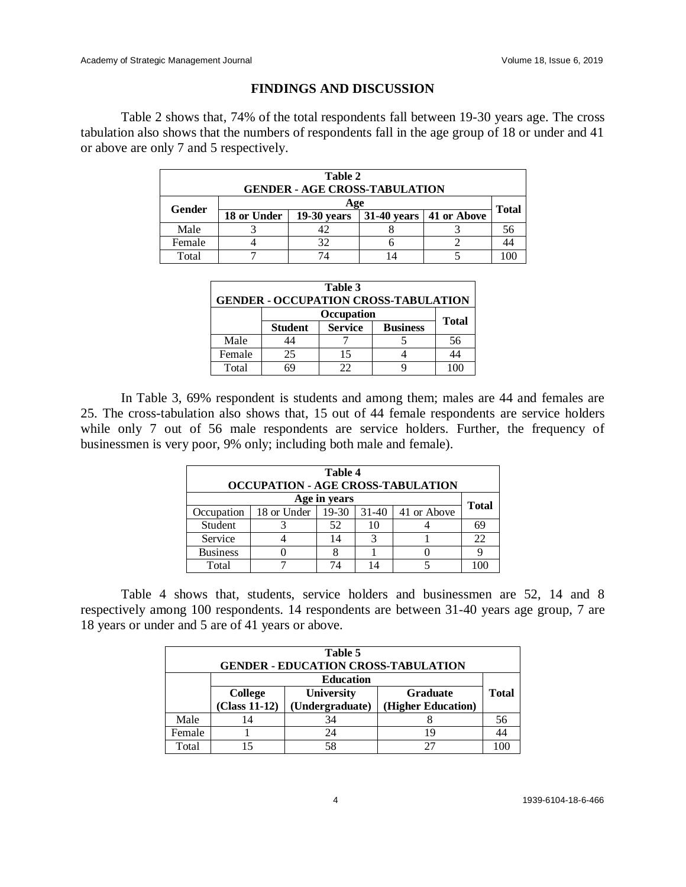## **FINDINGS AND DISCUSSION**

Table 2 shows that, 74% of the total respondents fall between 19-30 years age. The cross tabulation also shows that the numbers of respondents fall in the age group of 18 or under and 41 or above are only 7 and 5 respectively.

| Table 2<br><b>GENDER - AGE CROSS-TABULATION</b> |             |               |  |                                 |  |  |  |  |
|-------------------------------------------------|-------------|---------------|--|---------------------------------|--|--|--|--|
| Age                                             |             |               |  | <b>Total</b>                    |  |  |  |  |
| Gender                                          | 18 or Under | $19-30$ years |  | 31-40 years $\vert$ 41 or Above |  |  |  |  |
| Male                                            |             |               |  |                                 |  |  |  |  |
| Female                                          |             | 32            |  |                                 |  |  |  |  |
| Total                                           |             |               |  |                                 |  |  |  |  |

| Table 3<br><b>GENDER - OCCUPATION CROSS-TABULATION</b> |                |                |                 |              |  |  |
|--------------------------------------------------------|----------------|----------------|-----------------|--------------|--|--|
|                                                        | Occupation     |                |                 |              |  |  |
|                                                        | <b>Student</b> | <b>Service</b> | <b>Business</b> | <b>Total</b> |  |  |
| Male                                                   |                |                |                 | 56           |  |  |
| Female                                                 | 25             | 15             |                 | 44           |  |  |
| Total                                                  |                | つつ             |                 |              |  |  |

In Table 3, 69% respondent is students and among them; males are 44 and females are 25. The cross-tabulation also shows that, 15 out of 44 female respondents are service holders while only 7 out of 56 male respondents are service holders. Further, the frequency of businessmen is very poor, 9% only; including both male and female).

| Table 4<br><b>OCCUPATION - AGE CROSS-TABULATION</b> |             |                      |    |                     |              |  |  |  |
|-----------------------------------------------------|-------------|----------------------|----|---------------------|--------------|--|--|--|
| Age in years                                        |             |                      |    |                     |              |  |  |  |
| Occupation                                          | 18 or Under | $\overline{19} - 30$ |    | $31-40$ 41 or Above | <b>Total</b> |  |  |  |
| Student                                             |             | 52                   | 10 |                     | 69           |  |  |  |
| Service                                             |             | 14                   |    |                     | 22           |  |  |  |
| <b>Business</b>                                     |             |                      |    |                     |              |  |  |  |
| Total                                               |             | 74                   |    |                     |              |  |  |  |

Table 4 shows that, students, service holders and businessmen are 52, 14 and 8 respectively among 100 respondents. 14 respondents are between 31-40 years age group, 7 are 18 years or under and 5 are of 41 years or above.

| Table 5<br><b>GENDER - EDUCATION CROSS-TABULATION</b> |                              |                 |                    |              |  |  |
|-------------------------------------------------------|------------------------------|-----------------|--------------------|--------------|--|--|
|                                                       | <b>Education</b>             |                 |                    |              |  |  |
|                                                       | University<br><b>College</b> |                 | <b>Graduate</b>    | <b>Total</b> |  |  |
|                                                       | $(Class 11-12)$              | (Undergraduate) | (Higher Education) |              |  |  |
| Male                                                  |                              | 34              |                    | 56           |  |  |
| Female                                                |                              | 24              | 19                 |              |  |  |
| Total                                                 |                              | 58              |                    |              |  |  |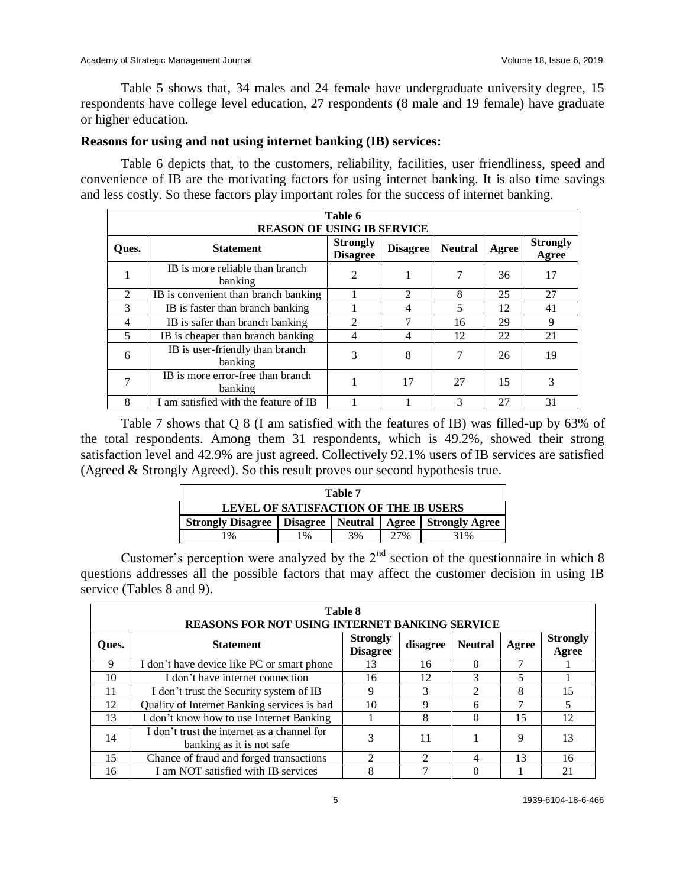Table 5 shows that, 34 males and 24 female have undergraduate university degree, 15 respondents have college level education, 27 respondents (8 male and 19 female) have graduate or higher education.

# **Reasons for using and not using internet banking (IB) services:**

Table 6 depicts that, to the customers, reliability, facilities, user friendliness, speed and convenience of IB are the motivating factors for using internet banking. It is also time savings and less costly. So these factors play important roles for the success of internet banking.

| Table 6<br><b>REASON OF USING IB SERVICE</b> |                                              |                                    |                 |                |       |                          |  |  |  |  |
|----------------------------------------------|----------------------------------------------|------------------------------------|-----------------|----------------|-------|--------------------------|--|--|--|--|
| Oues.                                        | <b>Statement</b>                             | <b>Strongly</b><br><b>Disagree</b> | <b>Disagree</b> | <b>Neutral</b> | Agree | <b>Strongly</b><br>Agree |  |  |  |  |
|                                              | IB is more reliable than branch<br>banking   | $\overline{\mathcal{L}}$           |                 | 7              | 36    | 17                       |  |  |  |  |
| $\mathfrak{D}$                               | IB is convenient than branch banking         |                                    | $\mathfrak{D}$  | 8              | 25    | 27                       |  |  |  |  |
| 3                                            | IB is faster than branch banking             |                                    | 4               | 5              | 12    | 41                       |  |  |  |  |
| $\overline{4}$                               | IB is safer than branch banking              | $\mathcal{D}_{\mathcal{L}}$        | 7               | 16             | 29    | 9                        |  |  |  |  |
| 5                                            | IB is cheaper than branch banking            | $\overline{4}$                     | 4               | 12             | 22    | 21                       |  |  |  |  |
| 6                                            | IB is user-friendly than branch<br>banking   | 3                                  | 8               | 7              | 26    | 19                       |  |  |  |  |
| 7                                            | IB is more error-free than branch<br>banking |                                    | 17              | 27             | 15    | 3                        |  |  |  |  |
| 8                                            | I am satisfied with the feature of IB        |                                    |                 | $\mathcal{R}$  | 27    | 31                       |  |  |  |  |

Table 7 shows that Q 8 (I am satisfied with the features of IB) was filled-up by 63% of the total respondents. Among them 31 respondents, which is 49.2%, showed their strong satisfaction level and 42.9% are just agreed. Collectively 92.1% users of IB services are satisfied (Agreed & Strongly Agreed). So this result proves our second hypothesis true.

| Table 7                                                         |    |    |     |     |  |  |
|-----------------------------------------------------------------|----|----|-----|-----|--|--|
| LEVEL OF SATISFACTION OF THE IB USERS                           |    |    |     |     |  |  |
| Strongly Disagree   Disagree   Neutral   Agree   Strongly Agree |    |    |     |     |  |  |
| 1 %                                                             | 1% | 3% | 27% | 31% |  |  |

Customer's perception were analyzed by the  $2<sup>nd</sup>$  section of the questionnaire in which 8 questions addresses all the possible factors that may affect the customer decision in using IB service (Tables 8 and 9).

| <b>Table 8</b><br><b>REASONS FOR NOT USING INTERNET BANKING SERVICE</b> |                                                                          |                                    |               |                |       |                          |  |  |  |
|-------------------------------------------------------------------------|--------------------------------------------------------------------------|------------------------------------|---------------|----------------|-------|--------------------------|--|--|--|
| Ques.                                                                   | <b>Statement</b>                                                         | <b>Strongly</b><br><b>Disagree</b> | disagree      | <b>Neutral</b> | Agree | <b>Strongly</b><br>Agree |  |  |  |
| 9                                                                       | I don't have device like PC or smart phone                               | 13                                 | 16            |                |       |                          |  |  |  |
| 10                                                                      | I don't have internet connection                                         | 16                                 | 12            |                | 5     |                          |  |  |  |
| 11                                                                      | I don't trust the Security system of IB                                  | 9                                  | 3             | $\mathcal{D}$  | 8     | 15                       |  |  |  |
| 12                                                                      | Quality of Internet Banking services is bad                              | 10                                 | 9             | 6              |       |                          |  |  |  |
| 13                                                                      | I don't know how to use Internet Banking                                 |                                    | 8             |                | 15    | 12                       |  |  |  |
| 14                                                                      | I don't trust the internet as a channel for<br>banking as it is not safe |                                    | 11            |                | 9     | 13                       |  |  |  |
| 15                                                                      | Chance of fraud and forged transactions                                  | າ                                  | $\mathcal{D}$ | 4              | 13    | 16                       |  |  |  |
| 16                                                                      | I am NOT satisfied with IB services                                      | 8                                  |               |                |       | 21                       |  |  |  |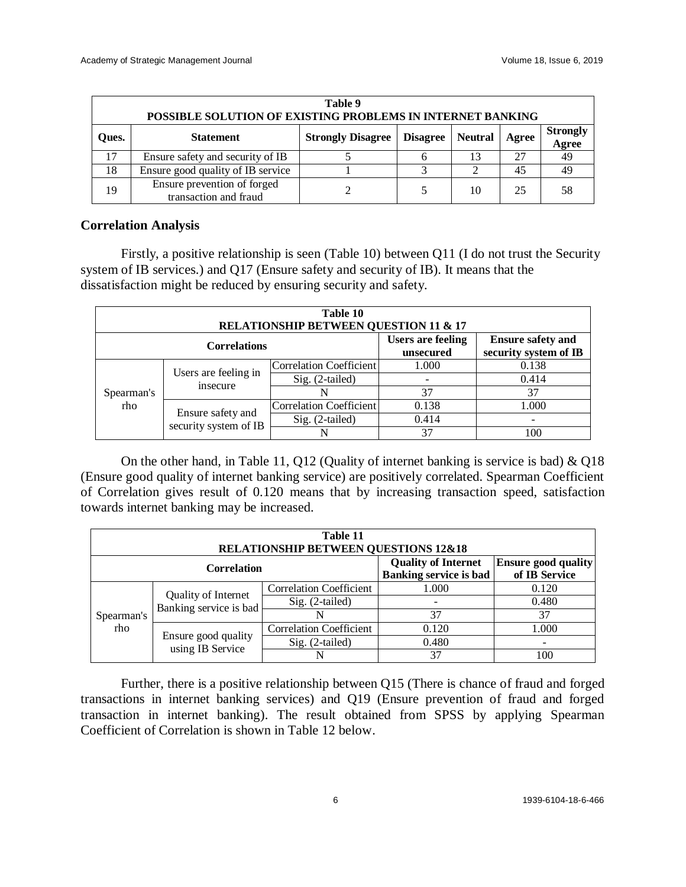| Table 9<br>POSSIBLE SOLUTION OF EXISTING PROBLEMS IN INTERNET BANKING |                                                      |                          |                 |                |       |                          |  |  |
|-----------------------------------------------------------------------|------------------------------------------------------|--------------------------|-----------------|----------------|-------|--------------------------|--|--|
| Oues.                                                                 | <b>Statement</b>                                     | <b>Strongly Disagree</b> | <b>Disagree</b> | <b>Neutral</b> | Agree | <b>Strongly</b><br>Agree |  |  |
|                                                                       | Ensure safety and security of IB                     |                          |                 |                | 27    | 49                       |  |  |
| 18                                                                    | Ensure good quality of IB service                    |                          |                 |                | 45    | 49                       |  |  |
| 19                                                                    | Ensure prevention of forged<br>transaction and fraud |                          |                 | 10             | 25    | 58                       |  |  |

#### **Correlation Analysis**

Firstly, a positive relationship is seen (Table 10) between Q11 (I do not trust the Security system of IB services.) and Q17 (Ensure safety and security of IB). It means that the dissatisfaction might be reduced by ensuring security and safety.

| Table 10<br><b>RELATIONSHIP BETWEEN QUESTION 11 &amp; 17</b> |                                            |                         |                                       |                                                   |  |  |  |  |
|--------------------------------------------------------------|--------------------------------------------|-------------------------|---------------------------------------|---------------------------------------------------|--|--|--|--|
| <b>Correlations</b>                                          |                                            |                         | <b>Users are feeling</b><br>unsecured | <b>Ensure safety and</b><br>security system of IB |  |  |  |  |
|                                                              | Users are feeling in<br>insecure           | Correlation Coefficient | 1.000                                 | 0.138                                             |  |  |  |  |
|                                                              |                                            | Sig. (2-tailed)         |                                       | 0.414                                             |  |  |  |  |
| Spearman's                                                   |                                            | N                       | 37                                    | 37                                                |  |  |  |  |
| rho                                                          | Ensure safety and<br>security system of IB | Correlation Coefficient | 0.138                                 | 1.000                                             |  |  |  |  |
|                                                              |                                            | Sig. (2-tailed)         | 0.414                                 |                                                   |  |  |  |  |
|                                                              |                                            | N                       | 37                                    | 100                                               |  |  |  |  |

On the other hand, in Table 11, Q12 (Quality of internet banking is service is bad) & Q18 (Ensure good quality of internet banking service) are positively correlated. Spearman Coefficient of Correlation gives result of 0.120 means that by increasing transaction speed, satisfaction towards internet banking may be increased.

| Table 11<br><b>RELATIONSHIP BETWEEN QUESTIONS 12&amp;18</b> |                                               |                                |                                                             |                                             |  |  |  |  |
|-------------------------------------------------------------|-----------------------------------------------|--------------------------------|-------------------------------------------------------------|---------------------------------------------|--|--|--|--|
| <b>Correlation</b>                                          |                                               |                                | <b>Quality of Internet</b><br><b>Banking service is bad</b> | <b>Ensure good quality</b><br>of IB Service |  |  |  |  |
|                                                             | Quality of Internet<br>Banking service is bad | <b>Correlation Coefficient</b> | 1.000                                                       | 0.120                                       |  |  |  |  |
|                                                             |                                               | Sig. (2-tailed)                |                                                             | 0.480                                       |  |  |  |  |
| Spearman's                                                  |                                               |                                | 37                                                          | 37                                          |  |  |  |  |
| rho                                                         |                                               | <b>Correlation Coefficient</b> | 0.120                                                       | 1.000                                       |  |  |  |  |
|                                                             | Ensure good quality<br>using IB Service       | $Sig. (2-tailed)$              | 0.480                                                       |                                             |  |  |  |  |
|                                                             |                                               |                                | 37                                                          | 100                                         |  |  |  |  |

Further, there is a positive relationship between Q15 (There is chance of fraud and forged transactions in internet banking services) and Q19 (Ensure prevention of fraud and forged transaction in internet banking). The result obtained from SPSS by applying Spearman Coefficient of Correlation is shown in Table 12 below.